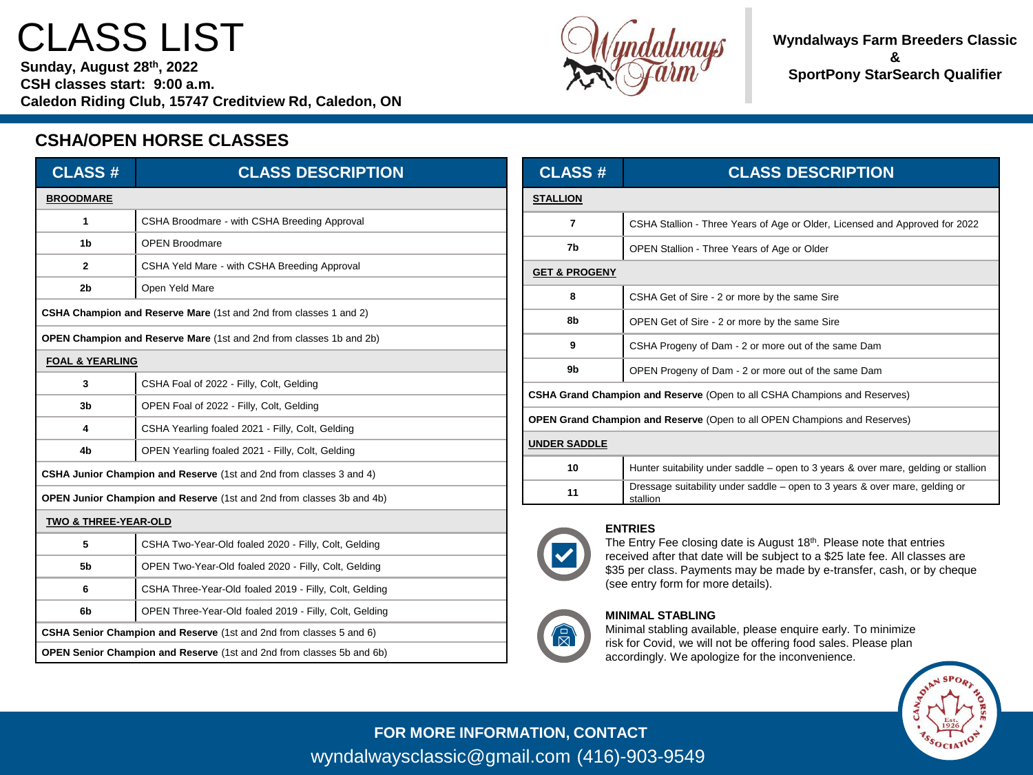# CLASS LIST

**Sunday, August 28th, 2022 CSH classes start: 9:00 a.m. Caledon Riding Club, 15747 Creditview Rd, Caledon, ON**



**Wyndalways Farm Breeders Classic & SportPony StarSearch Qualifier**

# **CSHA/OPEN HORSE CLASSES**

| <b>CLASS#</b>                                                                | <b>CLASS DESCRIPTION</b>                               |  |
|------------------------------------------------------------------------------|--------------------------------------------------------|--|
| <b>BROODMARE</b>                                                             |                                                        |  |
| 1                                                                            | CSHA Broodmare - with CSHA Breeding Approval           |  |
| 1b                                                                           | <b>OPEN Broodmare</b>                                  |  |
| $\mathbf{2}$                                                                 | CSHA Yeld Mare - with CSHA Breeding Approval           |  |
| 2 <sub>b</sub>                                                               | Open Yeld Mare                                         |  |
| CSHA Champion and Reserve Mare (1st and 2nd from classes 1 and 2)            |                                                        |  |
| OPEN Champion and Reserve Mare (1st and 2nd from classes 1b and 2b)          |                                                        |  |
| <b>FOAL &amp; YEARLING</b>                                                   |                                                        |  |
| 3                                                                            | CSHA Foal of 2022 - Filly, Colt, Gelding               |  |
| 3b                                                                           | OPEN Foal of 2022 - Filly, Colt, Gelding               |  |
| 4                                                                            | CSHA Yearling foaled 2021 - Filly, Colt, Gelding       |  |
| 4b                                                                           | OPEN Yearling foaled 2021 - Filly, Colt, Gelding       |  |
| CSHA Junior Champion and Reserve (1st and 2nd from classes 3 and 4)          |                                                        |  |
| <b>OPEN Junior Champion and Reserve (1st and 2nd from classes 3b and 4b)</b> |                                                        |  |
| TWO & THREE-YEAR-OLD                                                         |                                                        |  |
| 5                                                                            | CSHA Two-Year-Old foaled 2020 - Filly, Colt, Gelding   |  |
| 5b                                                                           | OPEN Two-Year-Old foaled 2020 - Filly, Colt, Gelding   |  |
| 6                                                                            | CSHA Three-Year-Old foaled 2019 - Filly, Colt, Gelding |  |
| 6b                                                                           | OPEN Three-Year-Old foaled 2019 - Filly, Colt, Gelding |  |
| CSHA Senior Champion and Reserve (1st and 2nd from classes 5 and 6)          |                                                        |  |
| OPEN Senior Champion and Reserve (1st and 2nd from classes 5b and 6b)        |                                                        |  |

| <b>CLASS#</b>                                                                    | <b>CLASS DESCRIPTION</b>                                                                |  |
|----------------------------------------------------------------------------------|-----------------------------------------------------------------------------------------|--|
| <b>STALLION</b>                                                                  |                                                                                         |  |
| 7                                                                                | CSHA Stallion - Three Years of Age or Older, Licensed and Approved for 2022             |  |
| 7b                                                                               | OPEN Stallion - Three Years of Age or Older                                             |  |
| <b>GET &amp; PROGENY</b>                                                         |                                                                                         |  |
| 8                                                                                | CSHA Get of Sire - 2 or more by the same Sire                                           |  |
| 8b                                                                               | OPEN Get of Sire - 2 or more by the same Sire                                           |  |
| 9                                                                                | CSHA Progeny of Dam - 2 or more out of the same Dam                                     |  |
| 9b                                                                               | OPEN Progeny of Dam - 2 or more out of the same Dam                                     |  |
| <b>CSHA Grand Champion and Reserve</b> (Open to all CSHA Champions and Reserves) |                                                                                         |  |
| <b>OPEN Grand Champion and Reserve (Open to all OPEN Champions and Reserves)</b> |                                                                                         |  |
| <b>UNDER SADDLE</b>                                                              |                                                                                         |  |
| 10                                                                               | Hunter suitability under saddle – open to 3 years & over mare, gelding or stallion      |  |
| 11                                                                               | Dressage suitability under saddle – open to 3 years & over mare, gelding or<br>stallion |  |



The Entry Fee closing date is August 18th. Please note that entries received after that date will be subject to a \$25 late fee. All classes are \$35 per class. Payments may be made by e-transfer, cash, or by cheque (see entry form for more details).

### **MINIMAL STABLING**

Minimal stabling available, please enquire early. To minimize risk for Covid, we will not be offering food sales. Please plan accordingly. We apologize for the inconvenience.



**FOR MORE INFORMATION, CONTACT** wyndalwaysclassic@gmail.com (416)-903-9549

 $\mathbb{Z}$